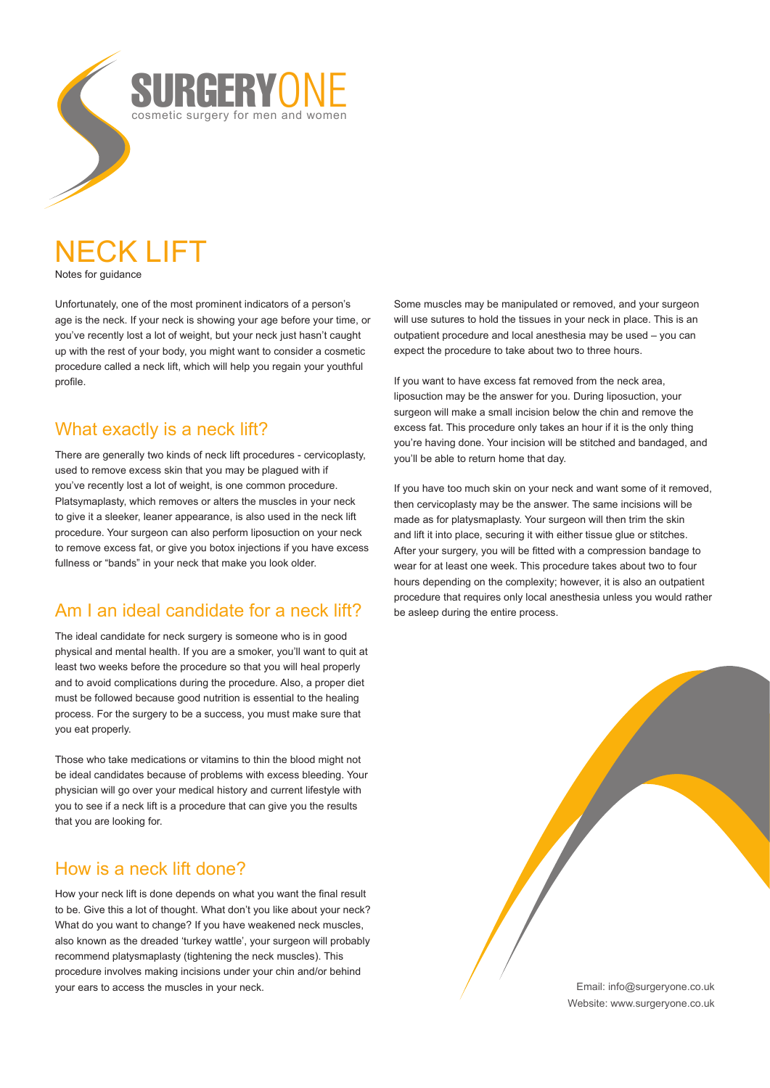

## NECK LIFT Notes for guidance

Unfortunately, one of the most prominent indicators of a person's age is the neck. If your neck is showing your age before your time, or you've recently lost a lot of weight, but your neck just hasn't caught up with the rest of your body, you might want to consider a cosmetic procedure called a neck lift, which will help you regain your youthful profile.

## What exactly is a neck lift?

There are generally two kinds of neck lift procedures - cervicoplasty, used to remove excess skin that you may be plagued with if you've recently lost a lot of weight, is one common procedure. Platsymaplasty, which removes or alters the muscles in your neck to give it a sleeker, leaner appearance, is also used in the neck lift procedure. Your surgeon can also perform liposuction on your neck to remove excess fat, or give you botox injections if you have excess fullness or "bands" in your neck that make you look older.

# Am I an ideal candidate for a neck lift?

The ideal candidate for neck surgery is someone who is in good physical and mental health. If you are a smoker, you'll want to quit at least two weeks before the procedure so that you will heal properly and to avoid complications during the procedure. Also, a proper diet must be followed because good nutrition is essential to the healing process. For the surgery to be a success, you must make sure that you eat properly.

Those who take medications or vitamins to thin the blood might not be ideal candidates because of problems with excess bleeding. Your physician will go over your medical history and current lifestyle with you to see if a neck lift is a procedure that can give you the results that you are looking for.

## How is a neck lift done?

How your neck lift is done depends on what you want the final result to be. Give this a lot of thought. What don't you like about your neck? What do you want to change? If you have weakened neck muscles, also known as the dreaded 'turkey wattle', your surgeon will probably recommend platysmaplasty (tightening the neck muscles). This procedure involves making incisions under your chin and/or behind your ears to access the muscles in your neck.

Some muscles may be manipulated or removed, and your surgeon will use sutures to hold the tissues in your neck in place. This is an outpatient procedure and local anesthesia may be used – you can expect the procedure to take about two to three hours.

If you want to have excess fat removed from the neck area, liposuction may be the answer for you. During liposuction, your surgeon will make a small incision below the chin and remove the excess fat. This procedure only takes an hour if it is the only thing you're having done. Your incision will be stitched and bandaged, and you'll be able to return home that day.

If you have too much skin on your neck and want some of it removed, then cervicoplasty may be the answer. The same incisions will be made as for platysmaplasty. Your surgeon will then trim the skin and lift it into place, securing it with either tissue glue or stitches. After your surgery, you will be fitted with a compression bandage to wear for at least one week. This procedure takes about two to four hours depending on the complexity; however, it is also an outpatient procedure that requires only local anesthesia unless you would rather be asleep during the entire process.

> Email: info@surgeryone.co.uk Website: www.surgeryone.co.uk